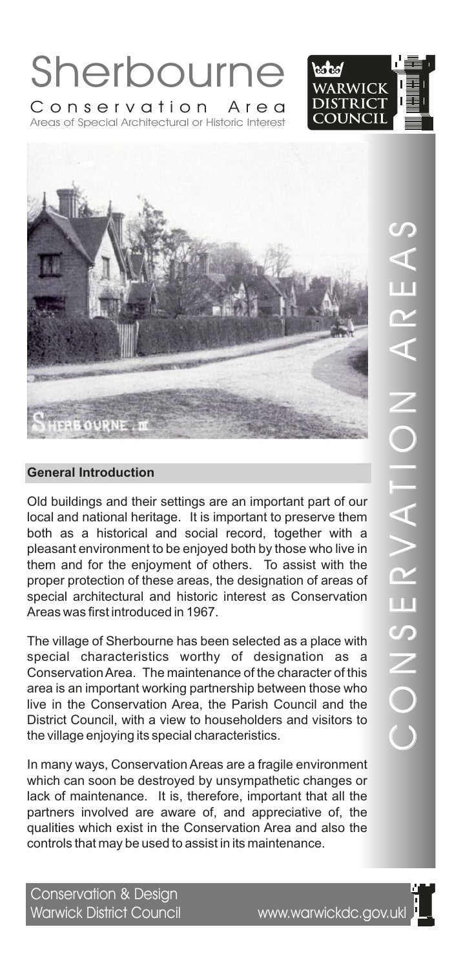





Old buildings and their settings are an important part of our local and national heritage. It is important to preserve them both as a historical and social record, together with a pleasant environment to be enjoyed both by those who live in them and for the enjoyment of others. To assist with the proper protection of these areas, the designation of areas of special architectural and historic interest as Conservation Areas was first introduced in 1967.

The village of Sherbourne has been selected as a place with special characteristics worthy of designation as a Conservation Area. The maintenance of the character of this area is an important working partnership between those who live in the Conservation Area, the Parish Council and the District Council, with a view to householders and visitors to the village enjoying its special characteristics.

In many ways, Conservation Areas are a fragile environment which can soon be destroyed by unsympathetic changes or lack of maintenance. It is, therefore, important that all the partners involved are aware of, and appreciative of, the qualities which exist in the Conservation Area and also the controls that may be used to assist in its maintenance.

Conservation & Design Warwick District Council www.warwickdc.gov.ukl

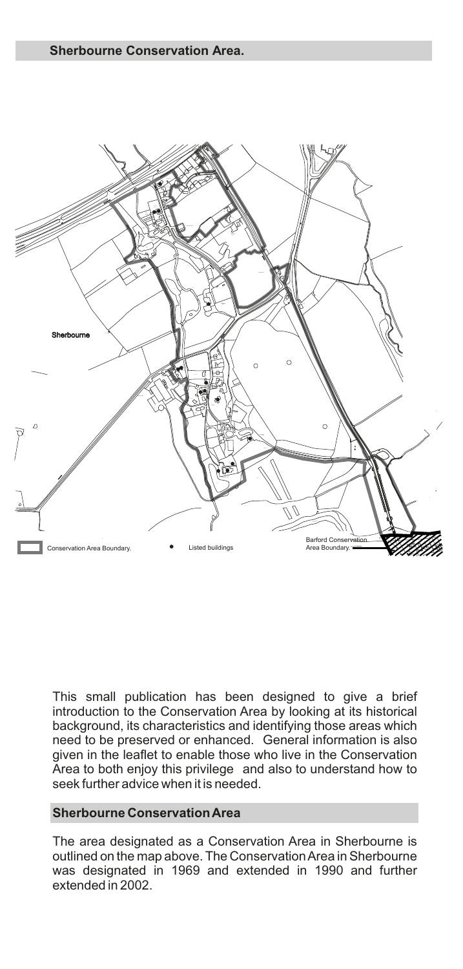

This small publication has been designed to give a brief introduction to the Conservation Area by looking at its historical background, its characteristics and identifying those areas which need to be preserved or enhanced. General information is also given in the leaflet to enable those who live in the Conservation Area to both enjoy this privilege and also to understand how to seek further advice when it is needed.

#### **Sherbourne Conservation Area**

The area designated as a Conservation Area in Sherbourne is outlined on the map above. The Conservation Area in Sherbourne was designated in 1969 and extended in 1990 and further extended in 2002.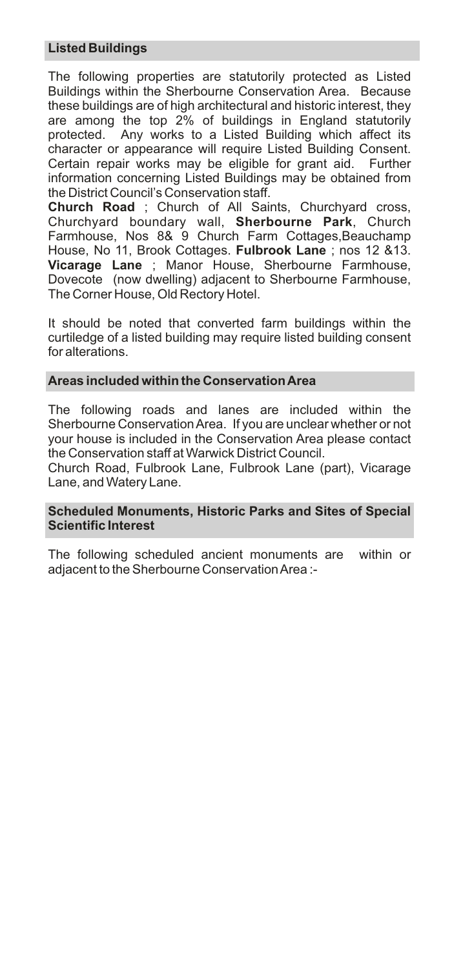# **Listed Buildings**

The following properties are statutorily protected as Listed Buildings within the Sherbourne Conservation Area. Because these buildings are of high architectural and historic interest, they are among the top 2% of buildings in England statutorily protected. Any works to a Listed Building which affect its character or appearance will require Listed Building Consent. Certain repair works may be eligible for grant aid. Further information concerning Listed Buildings may be obtained from the District Council's Conservation staff.

**Church Road** ; Church of All Saints, Churchyard cross, Churchyard boundary wall, **Sherbourne Park**, Church Farmhouse, Nos 8& 9 Church Farm Cottages,Beauchamp House, No 11, Brook Cottages. **Fulbrook Lane** ; nos 12 &13. **Vicarage Lane** ; Manor House, Sherbourne Farmhouse, Dovecote (now dwelling) adjacent to Sherbourne Farmhouse, The Corner House, Old Rectory Hotel.

It should be noted that converted farm buildings within the curtiledge of a listed building may require listed building consent for alterations.

#### **Areas included within the Conservation Area**

The following roads and lanes are included within the Sherbourne Conservation Area. If you are unclear whether or not your house is included in the Conservation Area please contact the Conservation staff at Warwick District Council.

Church Road, Fulbrook Lane, Fulbrook Lane (part), Vicarage Lane, and Watery Lane.

#### **Scheduled Monuments, Historic Parks and Sites of Special Scientific Interest**

The following scheduled ancient monuments are within or adjacent to the Sherbourne Conservation Area :-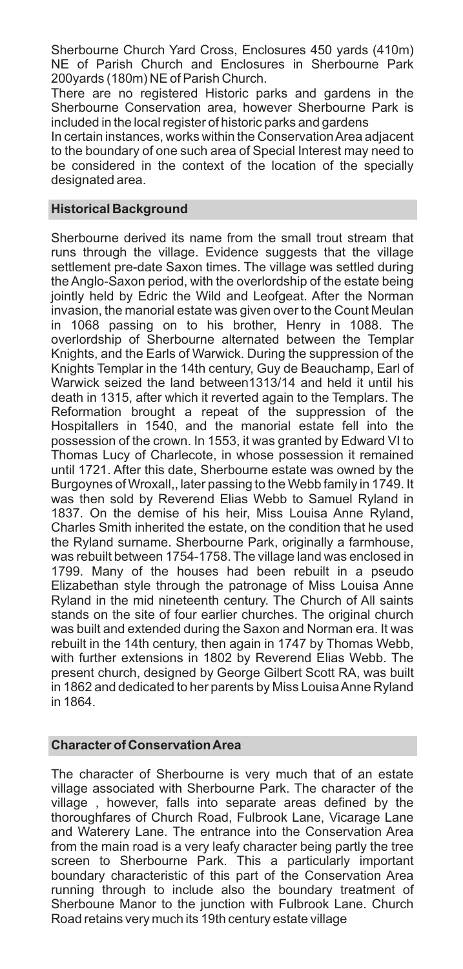Sherbourne Church Yard Cross, Enclosures 450 yards (410m) NE of Parish Church and Enclosures in Sherbourne Park 200yards (180m) NE of Parish Church.

There are no registered Historic parks and gardens in the Sherbourne Conservation area, however Sherbourne Park is included in the local register of historic parks and gardens

In certain instances, works within the Conservation Area adjacent to the boundary of one such area of Special Interest may need to be considered in the context of the location of the specially designated area.

#### **Historical Background**

Sherbourne derived its name from the small trout stream that runs through the village. Evidence suggests that the village settlement pre-date Saxon times. The village was settled during the Anglo-Saxon period, with the overlordship of the estate being jointly held by Edric the Wild and Leofgeat. After the Norman invasion, the manorial estate was given over to the Count Meulan in 1068 passing on to his brother, Henry in 1088. The overlordship of Sherbourne alternated between the Templar Knights, and the Earls of Warwick. During the suppression of the Knights Templar in the 14th century, Guy de Beauchamp, Earl of Warwick seized the land between1313/14 and held it until his death in 1315, after which it reverted again to the Templars. The Reformation brought a repeat of the suppression of the Hospitallers in 1540, and the manorial estate fell into the possession of the crown. In 1553, it was granted by Edward VI to Thomas Lucy of Charlecote, in whose possession it remained until 1721. After this date, Sherbourne estate was owned by the Burgoynes of Wroxall,, later passing to the Webb family in 1749. It was then sold by Reverend Elias Webb to Samuel Ryland in 1837. On the demise of his heir, Miss Louisa Anne Ryland, Charles Smith inherited the estate, on the condition that he used the Ryland surname. Sherbourne Park, originally a farmhouse, was rebuilt between 1754-1758. The village land was enclosed in 1799. Many of the houses had been rebuilt in a pseudo Elizabethan style through the patronage of Miss Louisa Anne Ryland in the mid nineteenth century. The Church of All saints stands on the site of four earlier churches. The original church was built and extended during the Saxon and Norman era. It was rebuilt in the 14th century, then again in 1747 by Thomas Webb, with further extensions in 1802 by Reverend Elias Webb. The present church, designed by George Gilbert Scott RA, was built in 1862 and dedicated to her parents by Miss Louisa Anne Ryland in 1864.

#### **Character of Conservation Area**

The character of Sherbourne is very much that of an estate village associated with Sherbourne Park. The character of the village , however, falls into separate areas defined by the thoroughfares of Church Road, Fulbrook Lane, Vicarage Lane and Waterery Lane. The entrance into the Conservation Area from the main road is a very leafy character being partly the tree screen to Sherbourne Park. This a particularly important boundary characteristic of this part of the Conservation Area running through to include also the boundary treatment of Sherboune Manor to the junction with Fulbrook Lane. Church Road retains very much its 19th century estate village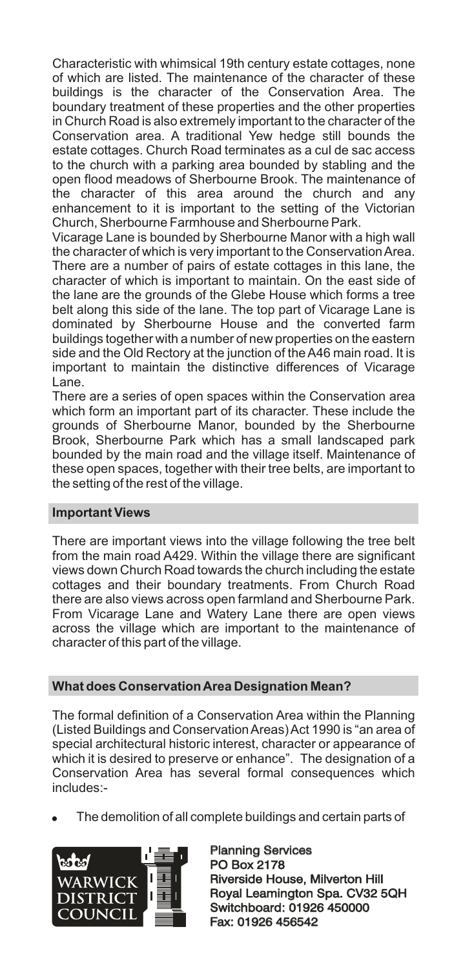Characteristic with whimsical 19th century estate cottages, none of which are listed. The maintenance of the character of these buildings is the character of the Conservation Area. The boundary treatment of these properties and the other properties in Church Road is also extremely important to the character of the Conservation area. A traditional Yew hedge still bounds the estate cottages. Church Road terminates as a cul de sac access to the church with a parking area bounded by stabling and the open flood meadows of Sherbourne Brook. The maintenance of the character of this area around the church and any enhancement to it is important to the setting of the Victorian Church, Sherbourne Farmhouse and Sherbourne Park.

Vicarage Lane is bounded by Sherbourne Manor with a high wall the character of which is very important to the Conservation Area. There are a number of pairs of estate cottages in this lane, the character of which is important to maintain. On the east side of the lane are the grounds of the Glebe House which forms a tree belt along this side of the lane. The top part of Vicarage Lane is dominated by Sherbourne House and the converted farm buildings together with a number of new properties on the eastern side and the Old Rectory at the junction of the A46 main road. It is important to maintain the distinctive differences of Vicarage Lane.

There are a series of open spaces within the Conservation area which form an important part of its character. These include the grounds of Sherbourne Manor, bounded by the Sherbourne Brook, Sherbourne Park which has a small landscaped park bounded by the main road and the village itself. Maintenance of these open spaces, together with their tree belts, are important to the setting of the rest of the village.

## **Important Views**

There are important views into the village following the tree belt from the main road A429. Within the village there are significant views down Church Road towards the church including the estate cottages and their boundary treatments. From Church Road there are also views across open farmland and Sherbourne Park. From Vicarage Lane and Watery Lane there are open views across the village which are important to the maintenance of character of this part of the village.

## **What does Conservation Area Designation Mean?**

The formal definition of a Conservation Area within the Planning (Listed Buildings and Conservation Areas) Act 1990 is "an area of special architectural historic interest, character or appearance of which it is desired to preserve or enhance". The designation of a Conservation Area has several formal consequences which includes:-

! The demolition of all complete buildings and certain parts of



Planning Services PO Box 2178 Planning Services<br>PO Box 2178<br>Riverside House, Milverton Hill Royal Leamington Spa. CV32 5QH Switchboard: 01926 450000 Fax: 01926 456542 Royal Leamington Spa. CV32<br>Switchboard: 01926 450000<br>Fax: 01926 456542